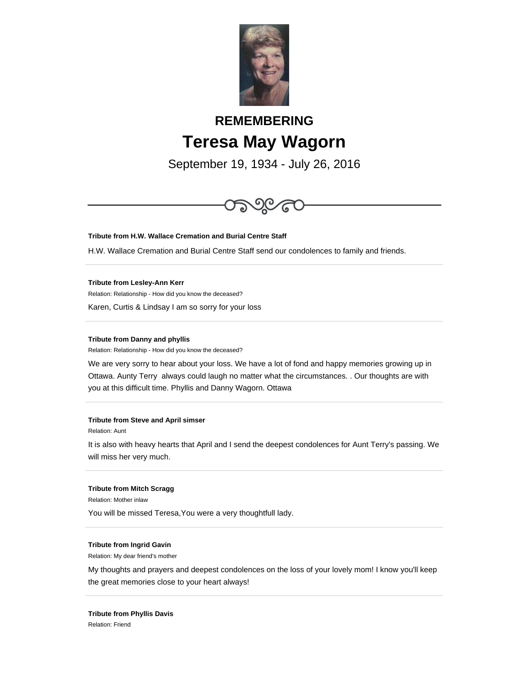

# **REMEMBERING Teresa May Wagorn**

September 19, 1934 - July 26, 2016



**Tribute from H.W. Wallace Cremation and Burial Centre Staff**

H.W. Wallace Cremation and Burial Centre Staff send our condolences to family and friends.

**Tribute from Lesley-Ann Kerr**

Relation: Relationship - How did you know the deceased?

Karen, Curtis & Lindsay I am so sorry for your loss

### **Tribute from Danny and phyllis**

Relation: Relationship - How did you know the deceased?

We are very sorry to hear about your loss. We have a lot of fond and happy memories growing up in Ottawa. Aunty Terry always could laugh no matter what the circumstances. . Our thoughts are with you at this difficult time. Phyllis and Danny Wagorn. Ottawa

### **Tribute from Steve and April simser**

Relation: Aunt

It is also with heavy hearts that April and I send the deepest condolences for Aunt Terry's passing. We will miss her very much.

#### **Tribute from Mitch Scragg**

Relation: Mother inlaw

You will be missed Teresa,You were a very thoughtfull lady.

## **Tribute from Ingrid Gavin**

Relation: My dear friend's mother

My thoughts and prayers and deepest condolences on the loss of your lovely mom! I know you'll keep the great memories close to your heart always!

**Tribute from Phyllis Davis** Relation: Friend